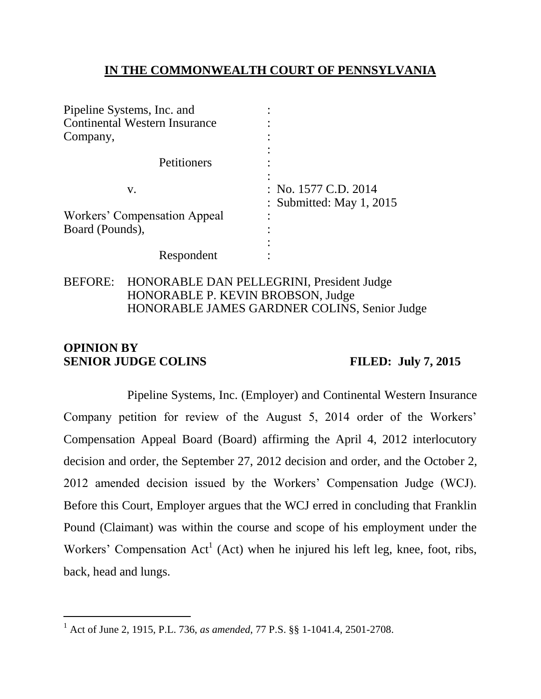### **IN THE COMMONWEALTH COURT OF PENNSYLVANIA**

| Pipeline Systems, Inc. and           |                            |
|--------------------------------------|----------------------------|
| <b>Continental Western Insurance</b> |                            |
| Company,                             |                            |
|                                      |                            |
| Petitioners                          |                            |
|                                      |                            |
| V.                                   | : No. $1577$ C.D. $2014$   |
|                                      | : Submitted: May $1, 2015$ |
| Workers' Compensation Appeal         |                            |
| Board (Pounds),                      |                            |
|                                      |                            |
| Respondent                           |                            |

### BEFORE: HONORABLE DAN PELLEGRINI, President Judge HONORABLE P. KEVIN BROBSON, Judge HONORABLE JAMES GARDNER COLINS, Senior Judge

# **OPINION BY SENIOR JUDGE COLINS FILED: July 7, 2015**

 $\overline{a}$ 

Pipeline Systems, Inc. (Employer) and Continental Western Insurance Company petition for review of the August 5, 2014 order of the Workers' Compensation Appeal Board (Board) affirming the April 4, 2012 interlocutory decision and order, the September 27, 2012 decision and order, and the October 2, 2012 amended decision issued by the Workers' Compensation Judge (WCJ). Before this Court, Employer argues that the WCJ erred in concluding that Franklin Pound (Claimant) was within the course and scope of his employment under the Workers' Compensation  $Act^1$  (Act) when he injured his left leg, knee, foot, ribs, back, head and lungs.

<sup>1</sup> Act of June 2, 1915, P.L. 736, *as amended*, 77 P.S. §§ 1-1041.4, 2501-2708.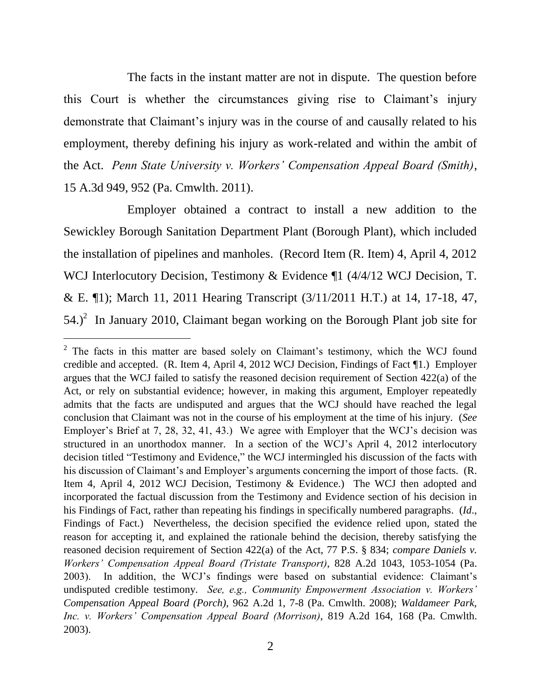The facts in the instant matter are not in dispute. The question before this Court is whether the circumstances giving rise to Claimant's injury demonstrate that Claimant's injury was in the course of and causally related to his employment, thereby defining his injury as work-related and within the ambit of the Act. *Penn State University v. Workers' Compensation Appeal Board (Smith)*, 15 A.3d 949, 952 (Pa. Cmwlth. 2011).

Employer obtained a contract to install a new addition to the Sewickley Borough Sanitation Department Plant (Borough Plant), which included the installation of pipelines and manholes. (Record Item (R. Item) 4, April 4, 2012 WCJ Interlocutory Decision, Testimony & Evidence ¶1 (4/4/12 WCJ Decision, T. & E. ¶1); March 11, 2011 Hearing Transcript (3/11/2011 H.T.) at 14, 17-18, 47,  $54.<sup>2</sup>$  In January 2010, Claimant began working on the Borough Plant job site for

 $2$  The facts in this matter are based solely on Claimant's testimony, which the WCJ found credible and accepted. (R. Item 4, April 4, 2012 WCJ Decision, Findings of Fact ¶1.) Employer argues that the WCJ failed to satisfy the reasoned decision requirement of Section 422(a) of the Act, or rely on substantial evidence; however, in making this argument, Employer repeatedly admits that the facts are undisputed and argues that the WCJ should have reached the legal conclusion that Claimant was not in the course of his employment at the time of his injury. (*See*  Employer's Brief at 7, 28, 32, 41, 43.) We agree with Employer that the WCJ's decision was structured in an unorthodox manner. In a section of the WCJ's April 4, 2012 interlocutory decision titled "Testimony and Evidence," the WCJ intermingled his discussion of the facts with his discussion of Claimant's and Employer's arguments concerning the import of those facts. (R. Item 4, April 4, 2012 WCJ Decision, Testimony & Evidence.) The WCJ then adopted and incorporated the factual discussion from the Testimony and Evidence section of his decision in his Findings of Fact, rather than repeating his findings in specifically numbered paragraphs. (*Id*., Findings of Fact.) Nevertheless, the decision specified the evidence relied upon, stated the reason for accepting it, and explained the rationale behind the decision, thereby satisfying the reasoned decision requirement of Section 422(a) of the Act, 77 P.S. § 834; *compare Daniels v. Workers' Compensation Appeal Board (Tristate Transport)*, 828 A.2d 1043, 1053-1054 (Pa. 2003). In addition, the WCJ's findings were based on substantial evidence: Claimant's undisputed credible testimony. *See, e.g., Community Empowerment Association v. Workers' Compensation Appeal Board (Porch)*, 962 A.2d 1, 7-8 (Pa. Cmwlth. 2008); *Waldameer Park, Inc. v. Workers' Compensation Appeal Board (Morrison)*, 819 A.2d 164, 168 (Pa. Cmwlth. 2003).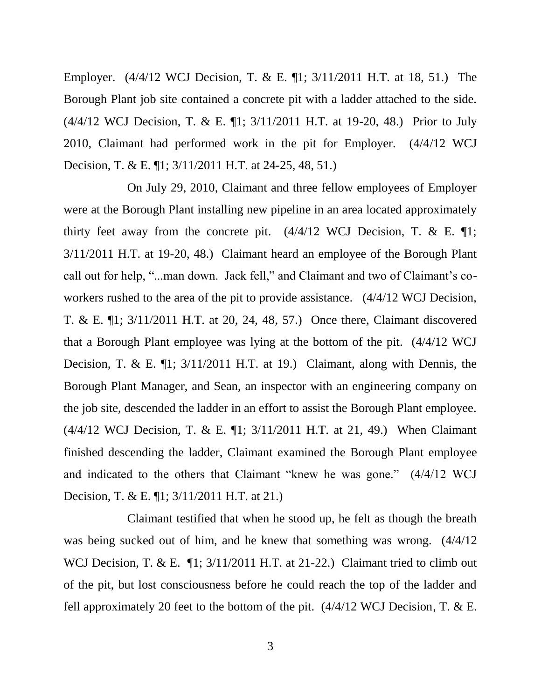Employer. (4/4/12 WCJ Decision, T. & E. ¶1; 3/11/2011 H.T. at 18, 51.) The Borough Plant job site contained a concrete pit with a ladder attached to the side. (4/4/12 WCJ Decision, T. & E. ¶1; 3/11/2011 H.T. at 19-20, 48.) Prior to July 2010, Claimant had performed work in the pit for Employer. (4/4/12 WCJ Decision, T. & E. ¶1; 3/11/2011 H.T. at 24-25, 48, 51.)

On July 29, 2010, Claimant and three fellow employees of Employer were at the Borough Plant installing new pipeline in an area located approximately thirty feet away from the concrete pit.  $(4/4/12 \text{ WCI Decision}, T. \& E. \parallel 1)$ ; 3/11/2011 H.T. at 19-20, 48.) Claimant heard an employee of the Borough Plant call out for help, "...man down. Jack fell," and Claimant and two of Claimant's coworkers rushed to the area of the pit to provide assistance. (4/4/12 WCJ Decision, T. & E. ¶1; 3/11/2011 H.T. at 20, 24, 48, 57.) Once there, Claimant discovered that a Borough Plant employee was lying at the bottom of the pit. (4/4/12 WCJ Decision, T. & E. ¶1; 3/11/2011 H.T. at 19.) Claimant, along with Dennis, the Borough Plant Manager, and Sean, an inspector with an engineering company on the job site, descended the ladder in an effort to assist the Borough Plant employee. (4/4/12 WCJ Decision, T. & E. ¶1; 3/11/2011 H.T. at 21, 49.) When Claimant finished descending the ladder, Claimant examined the Borough Plant employee and indicated to the others that Claimant "knew he was gone." (4/4/12 WCJ Decision, T. & E. ¶1; 3/11/2011 H.T. at 21.)

Claimant testified that when he stood up, he felt as though the breath was being sucked out of him, and he knew that something was wrong. (4/4/12 WCJ Decision, T. & E.  $\P$ 1; 3/11/2011 H.T. at 21-22.) Claimant tried to climb out of the pit, but lost consciousness before he could reach the top of the ladder and fell approximately 20 feet to the bottom of the pit. (4/4/12 WCJ Decision, T. & E.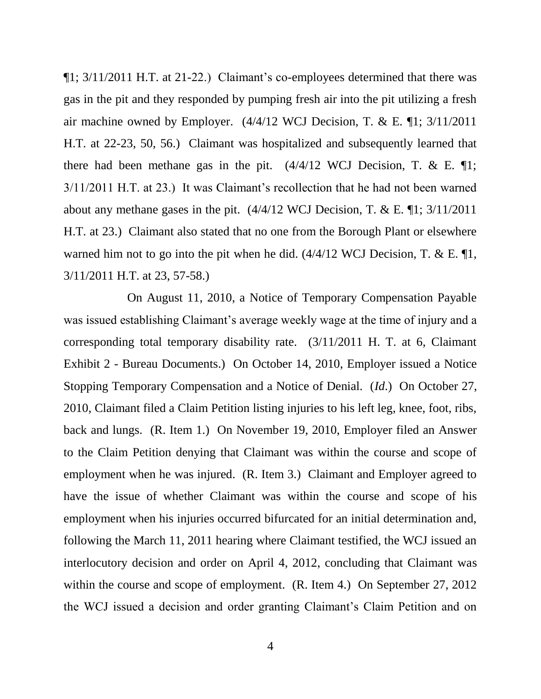¶1; 3/11/2011 H.T. at 21-22.) Claimant's co-employees determined that there was gas in the pit and they responded by pumping fresh air into the pit utilizing a fresh air machine owned by Employer.  $(4/4/12 \text{ WCI Decision}, T. \& E. \P1; 3/11/2011)$ H.T. at 22-23, 50, 56.) Claimant was hospitalized and subsequently learned that there had been methane gas in the pit.  $(4/4/12 \text{ WCI Decision}, T. & E. \text{T1};$ 3/11/2011 H.T. at 23.) It was Claimant's recollection that he had not been warned about any methane gases in the pit. (4/4/12 WCJ Decision, T. & E. ¶1; 3/11/2011 H.T. at 23.) Claimant also stated that no one from the Borough Plant or elsewhere warned him not to go into the pit when he did.  $(4/4/12 \text{ WCI Decision}, T. & E. \text{T1},$ 3/11/2011 H.T. at 23, 57-58.)

On August 11, 2010, a Notice of Temporary Compensation Payable was issued establishing Claimant's average weekly wage at the time of injury and a corresponding total temporary disability rate. (3/11/2011 H. T. at 6, Claimant Exhibit 2 - Bureau Documents.) On October 14, 2010, Employer issued a Notice Stopping Temporary Compensation and a Notice of Denial. (*Id*.) On October 27, 2010, Claimant filed a Claim Petition listing injuries to his left leg, knee, foot, ribs, back and lungs. (R. Item 1.) On November 19, 2010, Employer filed an Answer to the Claim Petition denying that Claimant was within the course and scope of employment when he was injured. (R. Item 3.) Claimant and Employer agreed to have the issue of whether Claimant was within the course and scope of his employment when his injuries occurred bifurcated for an initial determination and, following the March 11, 2011 hearing where Claimant testified, the WCJ issued an interlocutory decision and order on April 4, 2012, concluding that Claimant was within the course and scope of employment. (R. Item 4.) On September 27, 2012 the WCJ issued a decision and order granting Claimant's Claim Petition and on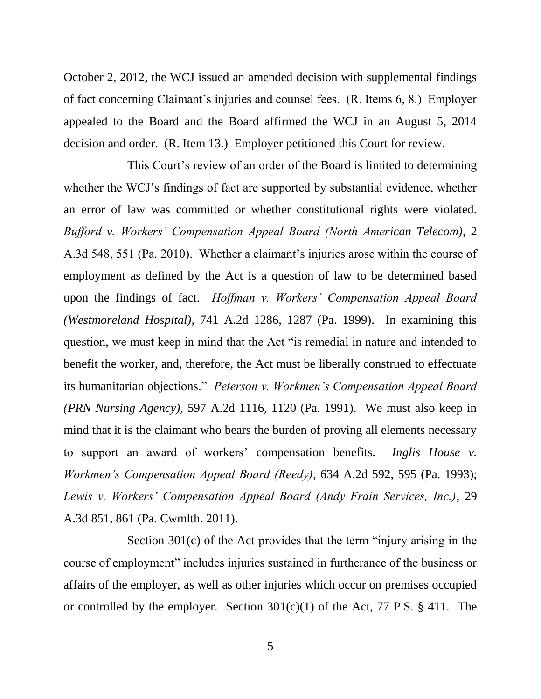October 2, 2012, the WCJ issued an amended decision with supplemental findings of fact concerning Claimant's injuries and counsel fees. (R. Items 6, 8.) Employer appealed to the Board and the Board affirmed the WCJ in an August 5, 2014 decision and order. (R. Item 13.) Employer petitioned this Court for review.

This Court's review of an order of the Board is limited to determining whether the WCJ's findings of fact are supported by substantial evidence, whether an error of law was committed or whether constitutional rights were violated. *Bufford v. Workers' Compensation Appeal Board (North American Telecom)*, 2 A.3d 548, 551 (Pa. 2010). Whether a claimant's injuries arose within the course of employment as defined by the Act is a question of law to be determined based upon the findings of fact. *Hoffman v. Workers' Compensation Appeal Board (Westmoreland Hospital)*, 741 A.2d 1286, 1287 (Pa. 1999). In examining this question, we must keep in mind that the Act "is remedial in nature and intended to benefit the worker, and, therefore, the Act must be liberally construed to effectuate its humanitarian objections." *Peterson v. Workmen's Compensation Appeal Board (PRN Nursing Agency)*, 597 A.2d 1116, 1120 (Pa. 1991). We must also keep in mind that it is the claimant who bears the burden of proving all elements necessary to support an award of workers' compensation benefits. *Inglis House v. Workmen's Compensation Appeal Board (Reedy)*, 634 A.2d 592, 595 (Pa. 1993); *Lewis v. Workers' Compensation Appeal Board (Andy Frain Services, Inc.)*, 29 A.3d 851, 861 (Pa. Cwmlth. 2011).

Section 301(c) of the Act provides that the term "injury arising in the course of employment" includes injuries sustained in furtherance of the business or affairs of the employer, as well as other injuries which occur on premises occupied or controlled by the employer. Section  $301(c)(1)$  of the Act, 77 P.S. § 411. The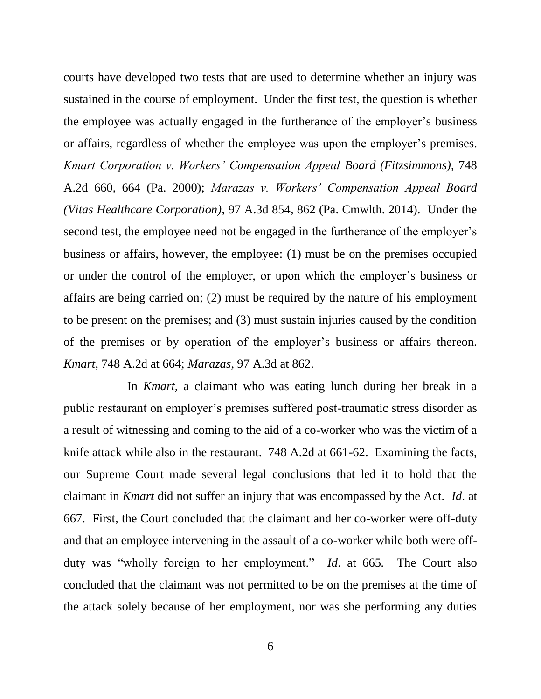courts have developed two tests that are used to determine whether an injury was sustained in the course of employment. Under the first test, the question is whether the employee was actually engaged in the furtherance of the employer's business or affairs, regardless of whether the employee was upon the employer's premises. *Kmart Corporation v. Workers' Compensation Appeal Board (Fitzsimmons)*, 748 A.2d 660, 664 (Pa. 2000); *Marazas v. Workers' Compensation Appeal Board (Vitas Healthcare Corporation)*, 97 A.3d 854, 862 (Pa. Cmwlth. 2014). Under the second test, the employee need not be engaged in the furtherance of the employer's business or affairs, however, the employee: (1) must be on the premises occupied or under the control of the employer, or upon which the employer's business or affairs are being carried on; (2) must be required by the nature of his employment to be present on the premises; and (3) must sustain injuries caused by the condition of the premises or by operation of the employer's business or affairs thereon. *Kmart*, 748 A.2d at 664; *Marazas*, 97 A.3d at 862.

In *Kmart*, a claimant who was eating lunch during her break in a public restaurant on employer's premises suffered post-traumatic stress disorder as a result of witnessing and coming to the aid of a co-worker who was the victim of a knife attack while also in the restaurant. 748 A.2d at 661-62. Examining the facts, our Supreme Court made several legal conclusions that led it to hold that the claimant in *Kmart* did not suffer an injury that was encompassed by the Act. *Id*. at 667. First, the Court concluded that the claimant and her co-worker were off-duty and that an employee intervening in the assault of a co-worker while both were offduty was "wholly foreign to her employment." *Id*. at 665*.* The Court also concluded that the claimant was not permitted to be on the premises at the time of the attack solely because of her employment, nor was she performing any duties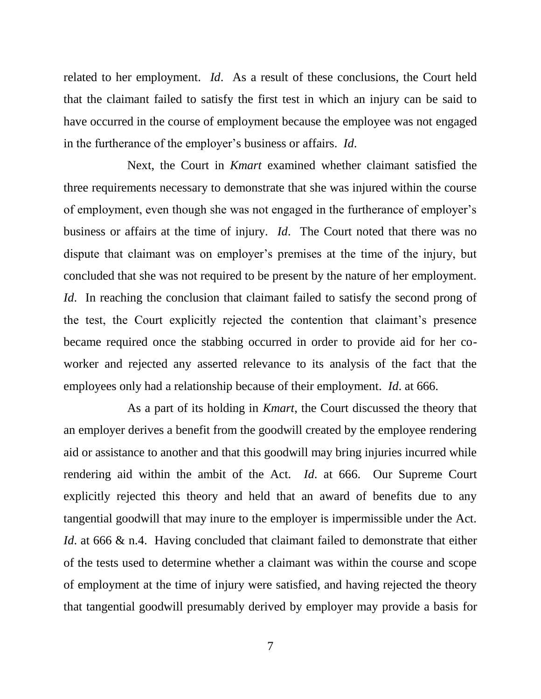related to her employment. *Id*. As a result of these conclusions, the Court held that the claimant failed to satisfy the first test in which an injury can be said to have occurred in the course of employment because the employee was not engaged in the furtherance of the employer's business or affairs. *Id*.

Next, the Court in *Kmart* examined whether claimant satisfied the three requirements necessary to demonstrate that she was injured within the course of employment, even though she was not engaged in the furtherance of employer's business or affairs at the time of injury. *Id*. The Court noted that there was no dispute that claimant was on employer's premises at the time of the injury, but concluded that she was not required to be present by the nature of her employment. *Id*. In reaching the conclusion that claimant failed to satisfy the second prong of the test, the Court explicitly rejected the contention that claimant's presence became required once the stabbing occurred in order to provide aid for her coworker and rejected any asserted relevance to its analysis of the fact that the employees only had a relationship because of their employment. *Id*. at 666.

As a part of its holding in *Kmart*, the Court discussed the theory that an employer derives a benefit from the goodwill created by the employee rendering aid or assistance to another and that this goodwill may bring injuries incurred while rendering aid within the ambit of the Act. *Id*. at 666. Our Supreme Court explicitly rejected this theory and held that an award of benefits due to any tangential goodwill that may inure to the employer is impermissible under the Act. *Id.* at 666 & n.4. Having concluded that claimant failed to demonstrate that either of the tests used to determine whether a claimant was within the course and scope of employment at the time of injury were satisfied, and having rejected the theory that tangential goodwill presumably derived by employer may provide a basis for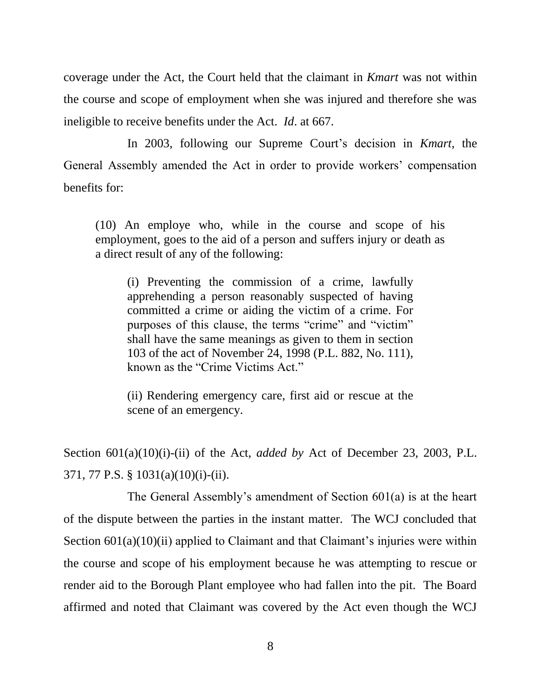coverage under the Act, the Court held that the claimant in *Kmart* was not within the course and scope of employment when she was injured and therefore she was ineligible to receive benefits under the Act. *Id*. at 667.

In 2003, following our Supreme Court's decision in *Kmart*, the General Assembly amended the Act in order to provide workers' compensation benefits for:

(10) An employe who, while in the course and scope of his employment, goes to the aid of a person and suffers injury or death as a direct result of any of the following:

(i) Preventing the commission of a crime, lawfully apprehending a person reasonably suspected of having committed a crime or aiding the victim of a crime. For purposes of this clause, the terms "crime" and "victim" shall have the same meanings as given to them in section 103 of the act of November 24, 1998 (P.L. 882, No. 111), known as the "Crime Victims Act."

(ii) Rendering emergency care, first aid or rescue at the scene of an emergency.

Section 601(a)(10)(i)-(ii) of the Act, *added by* Act of December 23, 2003, P.L. 371, 77 P.S. § 1031(a)(10)(i)-(ii).

The General Assembly's amendment of Section 601(a) is at the heart of the dispute between the parties in the instant matter. The WCJ concluded that Section  $601(a)(10)(ii)$  applied to Claimant and that Claimant's injuries were within the course and scope of his employment because he was attempting to rescue or render aid to the Borough Plant employee who had fallen into the pit. The Board affirmed and noted that Claimant was covered by the Act even though the WCJ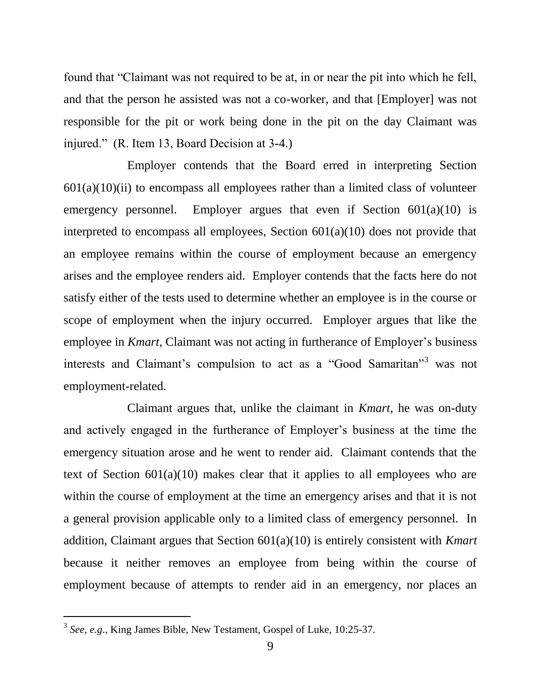found that "Claimant was not required to be at, in or near the pit into which he fell, and that the person he assisted was not a co-worker, and that [Employer] was not responsible for the pit or work being done in the pit on the day Claimant was injured." (R. Item 13, Board Decision at 3-4.)

Employer contends that the Board erred in interpreting Section  $601(a)(10)(ii)$  to encompass all employees rather than a limited class of volunteer emergency personnel. Employer argues that even if Section  $601(a)(10)$  is interpreted to encompass all employees, Section 601(a)(10) does not provide that an employee remains within the course of employment because an emergency arises and the employee renders aid. Employer contends that the facts here do not satisfy either of the tests used to determine whether an employee is in the course or scope of employment when the injury occurred. Employer argues that like the employee in *Kmart*, Claimant was not acting in furtherance of Employer's business interests and Claimant's compulsion to act as a "Good Samaritan"<sup>3</sup> was not employment-related.

Claimant argues that, unlike the claimant in *Kmart*, he was on-duty and actively engaged in the furtherance of Employer's business at the time the emergency situation arose and he went to render aid. Claimant contends that the text of Section  $601(a)(10)$  makes clear that it applies to all employees who are within the course of employment at the time an emergency arises and that it is not a general provision applicable only to a limited class of emergency personnel. In addition, Claimant argues that Section 601(a)(10) is entirely consistent with *Kmart* because it neither removes an employee from being within the course of employment because of attempts to render aid in an emergency, nor places an

<sup>3</sup> *See, e.g*., King James Bible, New Testament, Gospel of Luke, 10:25-37.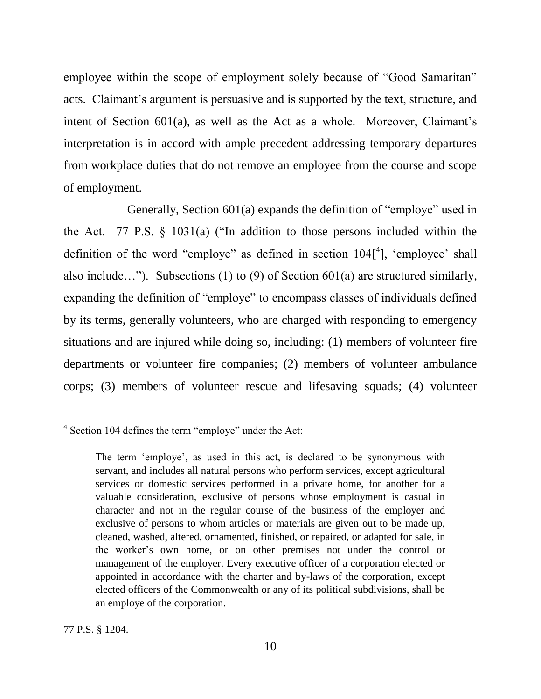employee within the scope of employment solely because of "Good Samaritan" acts. Claimant's argument is persuasive and is supported by the text, structure, and intent of Section 601(a), as well as the Act as a whole. Moreover, Claimant's interpretation is in accord with ample precedent addressing temporary departures from workplace duties that do not remove an employee from the course and scope of employment.

Generally, Section 601(a) expands the definition of "employe" used in the Act. 77 P.S. § 1031(a) ("In addition to those persons included within the definition of the word "employe" as defined in section  $104[$ <sup>4</sup>], 'employee' shall also include…"). Subsections (1) to (9) of Section 601(a) are structured similarly, expanding the definition of "employe" to encompass classes of individuals defined by its terms, generally volunteers, who are charged with responding to emergency situations and are injured while doing so, including: (1) members of volunteer fire departments or volunteer fire companies; (2) members of volunteer ambulance corps; (3) members of volunteer rescue and lifesaving squads; (4) volunteer

<sup>&</sup>lt;sup>4</sup> Section 104 defines the term "employe" under the Act:

The term 'employe', as used in this act, is declared to be synonymous with servant, and includes all natural persons who perform services, except agricultural services or domestic services performed in a private home, for another for a valuable consideration, exclusive of persons whose employment is casual in character and not in the regular course of the business of the employer and exclusive of persons to whom articles or materials are given out to be made up, cleaned, washed, altered, ornamented, finished, or repaired, or adapted for sale, in the worker's own home, or on other premises not under the control or management of the employer. Every executive officer of a corporation elected or appointed in accordance with the charter and by-laws of the corporation, except elected officers of the Commonwealth or any of its political subdivisions, shall be an employe of the corporation.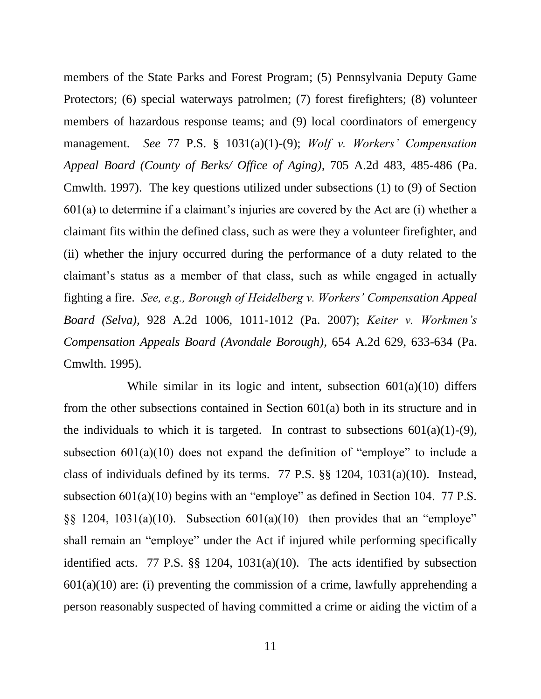members of the State Parks and Forest Program; (5) Pennsylvania Deputy Game Protectors; (6) special waterways patrolmen; (7) forest firefighters; (8) volunteer members of hazardous response teams; and (9) local coordinators of emergency management. *See* 77 P.S. § 1031(a)(1)-(9); *Wolf v. Workers' Compensation Appeal Board (County of Berks/ Office of Aging)*, 705 A.2d 483, 485-486 (Pa. Cmwlth. 1997). The key questions utilized under subsections (1) to (9) of Section 601(a) to determine if a claimant's injuries are covered by the Act are (i) whether a claimant fits within the defined class, such as were they a volunteer firefighter, and (ii) whether the injury occurred during the performance of a duty related to the claimant's status as a member of that class, such as while engaged in actually fighting a fire. *See, e.g., Borough of Heidelberg v. Workers' Compensation Appeal Board (Selva)*, 928 A.2d 1006, 1011-1012 (Pa. 2007); *Keiter v. Workmen's Compensation Appeals Board (Avondale Borough)*, 654 A.2d 629, 633-634 (Pa. Cmwlth. 1995).

While similar in its logic and intent, subsection  $601(a)(10)$  differs from the other subsections contained in Section 601(a) both in its structure and in the individuals to which it is targeted. In contrast to subsections  $601(a)(1)-(9)$ , subsection 601(a)(10) does not expand the definition of "employe" to include a class of individuals defined by its terms. 77 P.S. §§ 1204, 1031(a)(10). Instead, subsection 601(a)(10) begins with an "employe" as defined in Section 104. 77 P.S.  $\S$ § 1204, 1031(a)(10). Subsection 601(a)(10) then provides that an "employe" shall remain an "employe" under the Act if injured while performing specifically identified acts. 77 P.S. §§ 1204, 1031(a)(10). The acts identified by subsection  $601(a)(10)$  are: (i) preventing the commission of a crime, lawfully apprehending a person reasonably suspected of having committed a crime or aiding the victim of a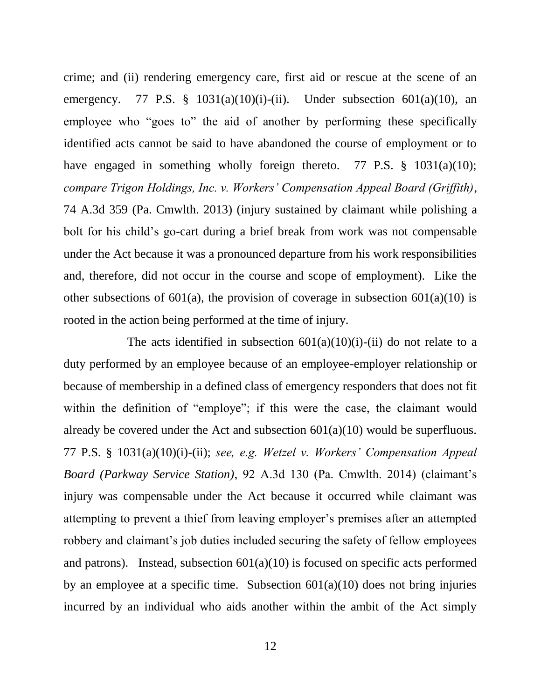crime; and (ii) rendering emergency care, first aid or rescue at the scene of an emergency. 77 P.S. §  $1031(a)(10)(i)$ -(ii). Under subsection  $601(a)(10)$ , an employee who "goes to" the aid of another by performing these specifically identified acts cannot be said to have abandoned the course of employment or to have engaged in something wholly foreign thereto. 77 P.S. § 1031(a)(10); *compare Trigon Holdings, Inc. v. Workers' Compensation Appeal Board (Griffith)*, 74 A.3d 359 (Pa. Cmwlth. 2013) (injury sustained by claimant while polishing a bolt for his child's go-cart during a brief break from work was not compensable under the Act because it was a pronounced departure from his work responsibilities and, therefore, did not occur in the course and scope of employment). Like the other subsections of 601(a), the provision of coverage in subsection 601(a)(10) is rooted in the action being performed at the time of injury.

The acts identified in subsection  $601(a)(10)(i)$ -(ii) do not relate to a duty performed by an employee because of an employee-employer relationship or because of membership in a defined class of emergency responders that does not fit within the definition of "employe"; if this were the case, the claimant would already be covered under the Act and subsection  $601(a)(10)$  would be superfluous. 77 P.S. § 1031(a)(10)(i)-(ii); *see, e.g. Wetzel v. Workers' Compensation Appeal Board (Parkway Service Station)*, 92 A.3d 130 (Pa. Cmwlth. 2014) (claimant's injury was compensable under the Act because it occurred while claimant was attempting to prevent a thief from leaving employer's premises after an attempted robbery and claimant's job duties included securing the safety of fellow employees and patrons). Instead, subsection  $601(a)(10)$  is focused on specific acts performed by an employee at a specific time. Subsection  $601(a)(10)$  does not bring injuries incurred by an individual who aids another within the ambit of the Act simply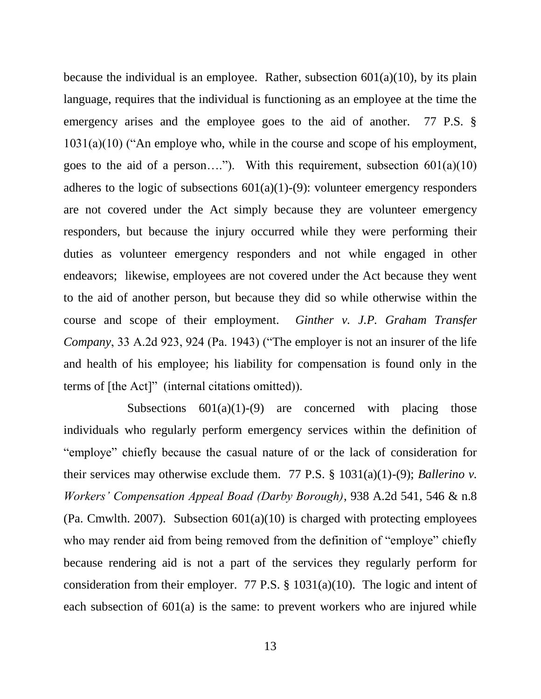because the individual is an employee. Rather, subsection  $601(a)(10)$ , by its plain language, requires that the individual is functioning as an employee at the time the emergency arises and the employee goes to the aid of another. 77 P.S. §  $1031(a)(10)$  ("An employe who, while in the course and scope of his employment, goes to the aid of a person...."). With this requirement, subsection  $601(a)(10)$ adheres to the logic of subsections  $601(a)(1)-(9)$ : volunteer emergency responders are not covered under the Act simply because they are volunteer emergency responders, but because the injury occurred while they were performing their duties as volunteer emergency responders and not while engaged in other endeavors; likewise, employees are not covered under the Act because they went to the aid of another person, but because they did so while otherwise within the course and scope of their employment. *Ginther v. J.P. Graham Transfer Company*, 33 A.2d 923, 924 (Pa. 1943) ("The employer is not an insurer of the life and health of his employee; his liability for compensation is found only in the terms of [the Act]" (internal citations omitted)).

Subsections  $601(a)(1)-(9)$  are concerned with placing those individuals who regularly perform emergency services within the definition of "employe" chiefly because the casual nature of or the lack of consideration for their services may otherwise exclude them. 77 P.S. § 1031(a)(1)-(9); *Ballerino v. Workers' Compensation Appeal Boad (Darby Borough)*, 938 A.2d 541, 546 & n.8 (Pa. Cmwlth. 2007). Subsection  $601(a)(10)$  is charged with protecting employees who may render aid from being removed from the definition of "employe" chiefly because rendering aid is not a part of the services they regularly perform for consideration from their employer. 77 P.S. § 1031(a)(10). The logic and intent of each subsection of 601(a) is the same: to prevent workers who are injured while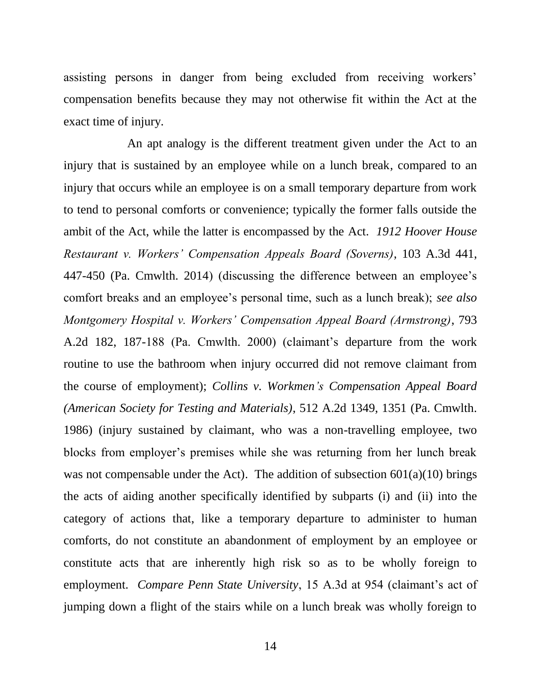assisting persons in danger from being excluded from receiving workers' compensation benefits because they may not otherwise fit within the Act at the exact time of injury.

An apt analogy is the different treatment given under the Act to an injury that is sustained by an employee while on a lunch break, compared to an injury that occurs while an employee is on a small temporary departure from work to tend to personal comforts or convenience; typically the former falls outside the ambit of the Act, while the latter is encompassed by the Act. *1912 Hoover House Restaurant v. Workers' Compensation Appeals Board (Soverns)*, 103 A.3d 441, 447-450 (Pa. Cmwlth. 2014) (discussing the difference between an employee's comfort breaks and an employee's personal time, such as a lunch break); *see also Montgomery Hospital v. Workers' Compensation Appeal Board (Armstrong)*, 793 A.2d 182, 187-188 (Pa. Cmwlth. 2000) (claimant's departure from the work routine to use the bathroom when injury occurred did not remove claimant from the course of employment); *Collins v. Workmen's Compensation Appeal Board (American Society for Testing and Materials)*, 512 A.2d 1349, 1351 (Pa. Cmwlth. 1986) (injury sustained by claimant, who was a non-travelling employee, two blocks from employer's premises while she was returning from her lunch break was not compensable under the Act). The addition of subsection  $601(a)(10)$  brings the acts of aiding another specifically identified by subparts (i) and (ii) into the category of actions that, like a temporary departure to administer to human comforts, do not constitute an abandonment of employment by an employee or constitute acts that are inherently high risk so as to be wholly foreign to employment. *Compare Penn State University*, 15 A.3d at 954 (claimant's act of jumping down a flight of the stairs while on a lunch break was wholly foreign to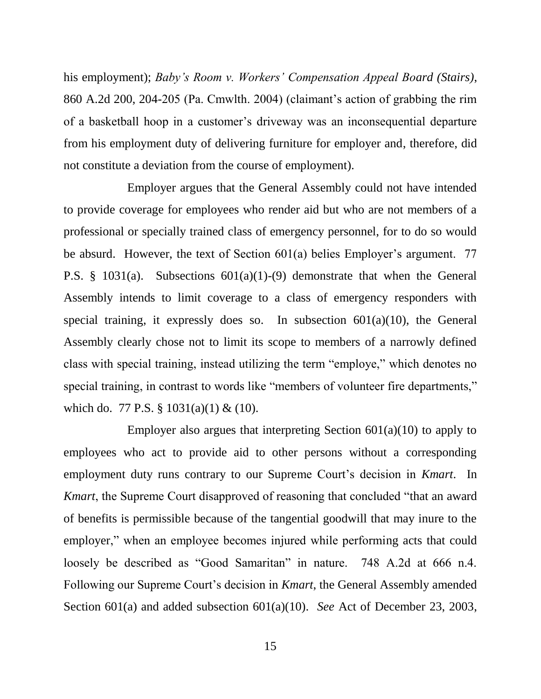his employment); *Baby's Room v. Workers' Compensation Appeal Board (Stairs)*, 860 A.2d 200, 204-205 (Pa. Cmwlth. 2004) (claimant's action of grabbing the rim of a basketball hoop in a customer's driveway was an inconsequential departure from his employment duty of delivering furniture for employer and, therefore, did not constitute a deviation from the course of employment).

Employer argues that the General Assembly could not have intended to provide coverage for employees who render aid but who are not members of a professional or specially trained class of emergency personnel, for to do so would be absurd. However, the text of Section 601(a) belies Employer's argument. 77 P.S. § 1031(a). Subsections 601(a)(1)-(9) demonstrate that when the General Assembly intends to limit coverage to a class of emergency responders with special training, it expressly does so. In subsection  $601(a)(10)$ , the General Assembly clearly chose not to limit its scope to members of a narrowly defined class with special training, instead utilizing the term "employe," which denotes no special training, in contrast to words like "members of volunteer fire departments," which do. 77 P.S. § 1031(a)(1) & (10).

Employer also argues that interpreting Section  $601(a)(10)$  to apply to employees who act to provide aid to other persons without a corresponding employment duty runs contrary to our Supreme Court's decision in *Kmart*. In *Kmart*, the Supreme Court disapproved of reasoning that concluded "that an award of benefits is permissible because of the tangential goodwill that may inure to the employer," when an employee becomes injured while performing acts that could loosely be described as "Good Samaritan" in nature. 748 A.2d at 666 n.4. Following our Supreme Court's decision in *Kmart*, the General Assembly amended Section 601(a) and added subsection 601(a)(10). *See* Act of December 23, 2003,

15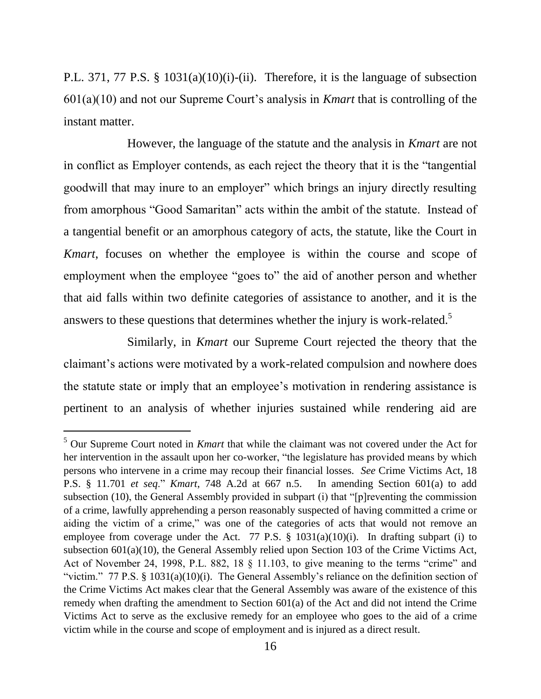P.L. 371, 77 P.S. § 1031(a)(10)(i)-(ii). Therefore, it is the language of subsection 601(a)(10) and not our Supreme Court's analysis in *Kmart* that is controlling of the instant matter.

However, the language of the statute and the analysis in *Kmart* are not in conflict as Employer contends, as each reject the theory that it is the "tangential goodwill that may inure to an employer" which brings an injury directly resulting from amorphous "Good Samaritan" acts within the ambit of the statute. Instead of a tangential benefit or an amorphous category of acts, the statute, like the Court in *Kmart*, focuses on whether the employee is within the course and scope of employment when the employee "goes to" the aid of another person and whether that aid falls within two definite categories of assistance to another, and it is the answers to these questions that determines whether the injury is work-related.<sup>5</sup>

Similarly, in *Kmart* our Supreme Court rejected the theory that the claimant's actions were motivated by a work-related compulsion and nowhere does the statute state or imply that an employee's motivation in rendering assistance is pertinent to an analysis of whether injuries sustained while rendering aid are

<sup>5</sup> Our Supreme Court noted in *Kmart* that while the claimant was not covered under the Act for her intervention in the assault upon her co-worker, "the legislature has provided means by which persons who intervene in a crime may recoup their financial losses. *See* Crime Victims Act, 18 P.S. § 11.701 *et seq*." *Kmart*, 748 A.2d at 667 n.5. In amending Section 601(a) to add subsection (10), the General Assembly provided in subpart (i) that "[p]reventing the commission of a crime, lawfully apprehending a person reasonably suspected of having committed a crime or aiding the victim of a crime," was one of the categories of acts that would not remove an employee from coverage under the Act. 77 P.S.  $\S$  1031(a)(10)(i). In drafting subpart (i) to subsection 601(a)(10), the General Assembly relied upon Section 103 of the Crime Victims Act, Act of November 24, 1998, P.L. 882, 18 § 11.103, to give meaning to the terms "crime" and "victim." 77 P.S. § 1031(a)(10)(i). The General Assembly's reliance on the definition section of the Crime Victims Act makes clear that the General Assembly was aware of the existence of this remedy when drafting the amendment to Section 601(a) of the Act and did not intend the Crime Victims Act to serve as the exclusive remedy for an employee who goes to the aid of a crime victim while in the course and scope of employment and is injured as a direct result.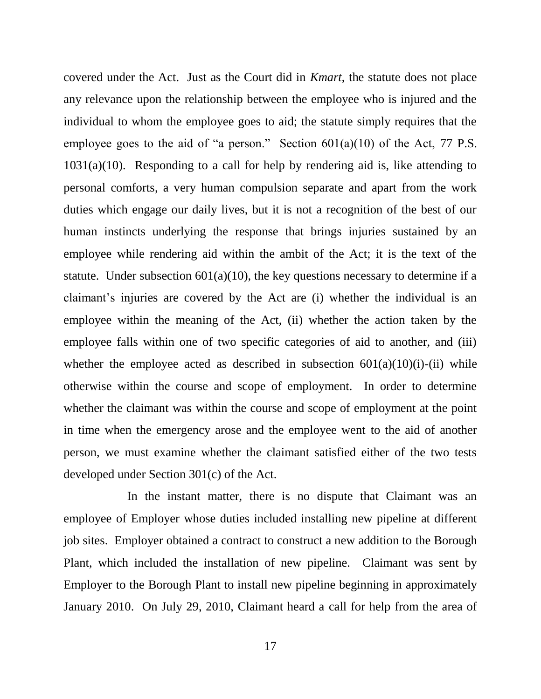covered under the Act. Just as the Court did in *Kmart*, the statute does not place any relevance upon the relationship between the employee who is injured and the individual to whom the employee goes to aid; the statute simply requires that the employee goes to the aid of "a person." Section  $601(a)(10)$  of the Act, 77 P.S.  $1031(a)(10)$ . Responding to a call for help by rendering aid is, like attending to personal comforts, a very human compulsion separate and apart from the work duties which engage our daily lives, but it is not a recognition of the best of our human instincts underlying the response that brings injuries sustained by an employee while rendering aid within the ambit of the Act; it is the text of the statute. Under subsection  $601(a)(10)$ , the key questions necessary to determine if a claimant's injuries are covered by the Act are (i) whether the individual is an employee within the meaning of the Act, (ii) whether the action taken by the employee falls within one of two specific categories of aid to another, and (iii) whether the employee acted as described in subsection  $601(a)(10)(i)$ -(ii) while otherwise within the course and scope of employment. In order to determine whether the claimant was within the course and scope of employment at the point in time when the emergency arose and the employee went to the aid of another person, we must examine whether the claimant satisfied either of the two tests developed under Section 301(c) of the Act.

In the instant matter, there is no dispute that Claimant was an employee of Employer whose duties included installing new pipeline at different job sites. Employer obtained a contract to construct a new addition to the Borough Plant, which included the installation of new pipeline. Claimant was sent by Employer to the Borough Plant to install new pipeline beginning in approximately January 2010. On July 29, 2010, Claimant heard a call for help from the area of

17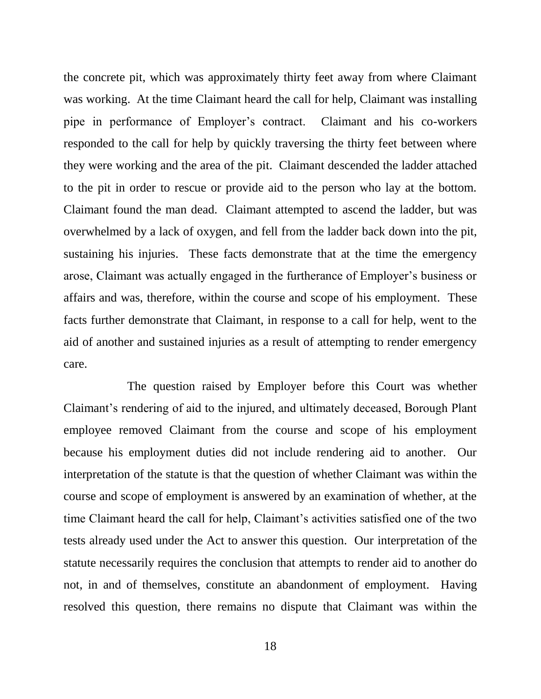the concrete pit, which was approximately thirty feet away from where Claimant was working. At the time Claimant heard the call for help, Claimant was installing pipe in performance of Employer's contract. Claimant and his co-workers responded to the call for help by quickly traversing the thirty feet between where they were working and the area of the pit. Claimant descended the ladder attached to the pit in order to rescue or provide aid to the person who lay at the bottom. Claimant found the man dead. Claimant attempted to ascend the ladder, but was overwhelmed by a lack of oxygen, and fell from the ladder back down into the pit, sustaining his injuries. These facts demonstrate that at the time the emergency arose, Claimant was actually engaged in the furtherance of Employer's business or affairs and was, therefore, within the course and scope of his employment. These facts further demonstrate that Claimant, in response to a call for help, went to the aid of another and sustained injuries as a result of attempting to render emergency care.

The question raised by Employer before this Court was whether Claimant's rendering of aid to the injured, and ultimately deceased, Borough Plant employee removed Claimant from the course and scope of his employment because his employment duties did not include rendering aid to another. Our interpretation of the statute is that the question of whether Claimant was within the course and scope of employment is answered by an examination of whether, at the time Claimant heard the call for help, Claimant's activities satisfied one of the two tests already used under the Act to answer this question. Our interpretation of the statute necessarily requires the conclusion that attempts to render aid to another do not, in and of themselves, constitute an abandonment of employment. Having resolved this question, there remains no dispute that Claimant was within the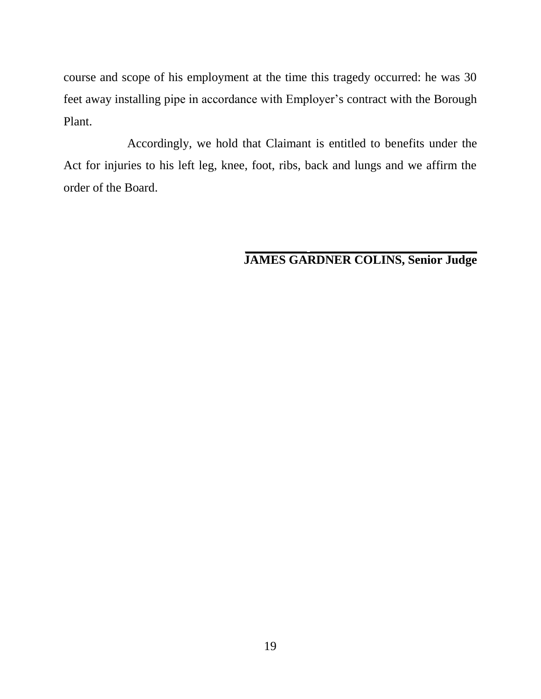course and scope of his employment at the time this tragedy occurred: he was 30 feet away installing pipe in accordance with Employer's contract with the Borough Plant.

Accordingly, we hold that Claimant is entitled to benefits under the Act for injuries to his left leg, knee, foot, ribs, back and lungs and we affirm the order of the Board.

### **\_\_\_\_\_\_\_\_\_\_ \_\_\_\_\_\_\_\_\_\_\_\_\_\_\_\_\_\_\_\_\_\_\_\_\_\_\_ JAMES GARDNER COLINS, Senior Judge**